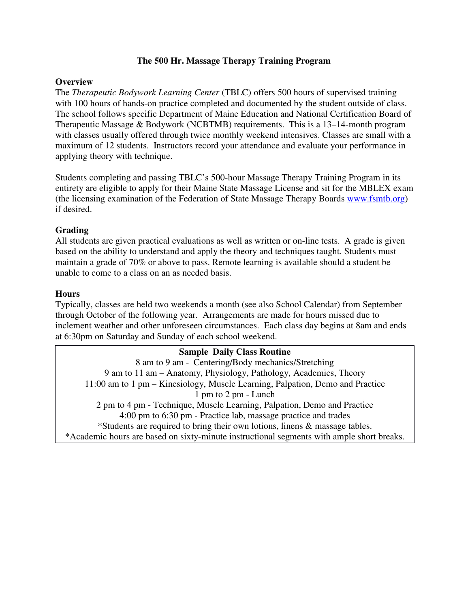### **The 500 Hr. Massage Therapy Training Program**

#### **Overview**

The *Therapeutic Bodywork Learning Center* (TBLC) offers 500 hours of supervised training with 100 hours of hands-on practice completed and documented by the student outside of class. The school follows specific Department of Maine Education and National Certification Board of Therapeutic Massage & Bodywork (NCBTMB) requirements. This is a 13–14-month program with classes usually offered through twice monthly weekend intensives. Classes are small with a maximum of 12 students. Instructors record your attendance and evaluate your performance in applying theory with technique.

Students completing and passing TBLC's 500-hour Massage Therapy Training Program in its entirety are eligible to apply for their Maine State Massage License and sit for the MBLEX exam (the licensing examination of the Federation of State Massage Therapy Boards www.fsmtb.org) if desired.

### **Grading**

All students are given practical evaluations as well as written or on-line tests. A grade is given based on the ability to understand and apply the theory and techniques taught. Students must maintain a grade of 70% or above to pass. Remote learning is available should a student be unable to come to a class on an as needed basis.

#### **Hours**

Typically, classes are held two weekends a month (see also School Calendar) from September through October of the following year. Arrangements are made for hours missed due to inclement weather and other unforeseen circumstances. Each class day begins at 8am and ends at 6:30pm on Saturday and Sunday of each school weekend.

### **Sample Daily Class Routine** 8 am to 9 am - Centering/Body mechanics/Stretching 9 am to 11 am – Anatomy, Physiology, Pathology, Academics, Theory 11:00 am to 1 pm – Kinesiology, Muscle Learning, Palpation, Demo and Practice 1 pm to 2 pm - Lunch 2 pm to 4 pm - Technique, Muscle Learning, Palpation, Demo and Practice 4:00 pm to 6:30 pm - Practice lab, massage practice and trades \*Students are required to bring their own lotions, linens & massage tables. \*Academic hours are based on sixty-minute instructional segments with ample short breaks.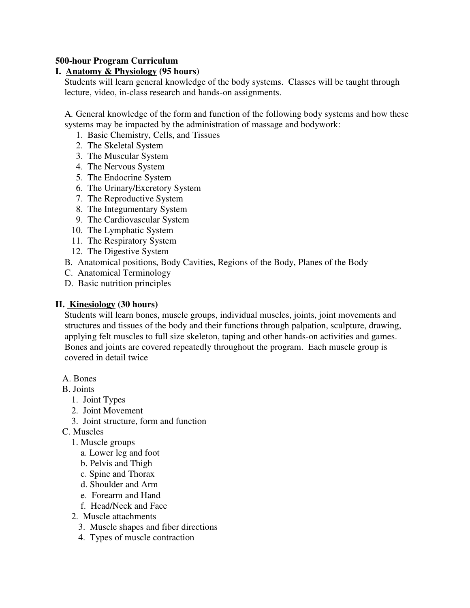### **500-hour Program Curriculum**

### **I. Anatomy & Physiology (95 hours)**

 Students will learn general knowledge of the body systems. Classes will be taught through lecture, video, in-class research and hands-on assignments.

 A*.* General knowledge of the form and function of the following body systems and how these systems may be impacted by the administration of massage and bodywork:

- 1. Basic Chemistry, Cells, and Tissues
- 2. The Skeletal System
- 3. The Muscular System
- 4. The Nervous System
- 5. The Endocrine System
- 6. The Urinary/Excretory System
- 7. The Reproductive System
- 8. The Integumentary System
- 9. The Cardiovascular System
- 10. The Lymphatic System
- 11. The Respiratory System
- 12. The Digestive System
- B*.* Anatomical positions, Body Cavities, Regions of the Body, Planes of the Body
- C. Anatomical Terminology
- D. Basic nutrition principles

#### **II. Kinesiology (30 hours)**

 Students will learn bones, muscle groups, individual muscles, joints, joint movements and structures and tissues of the body and their functions through palpation, sculpture, drawing, applying felt muscles to full size skeleton, taping and other hands-on activities and games. Bones and joints are covered repeatedly throughout the program. Each muscle group is covered in detail twice

- A. Bones
- B. Joints
	- 1. Joint Types
	- 2. Joint Movement
	- 3. Joint structure, form and function
- C. Muscles
	- 1. Muscle groups
		- a. Lower leg and foot
		- b. Pelvis and Thigh
		- c. Spine and Thorax
		- d. Shoulder and Arm
		- e. Forearm and Hand
		- f. Head/Neck and Face
	- 2. Muscle attachments
		- 3. Muscle shapes and fiber directions
		- 4. Types of muscle contraction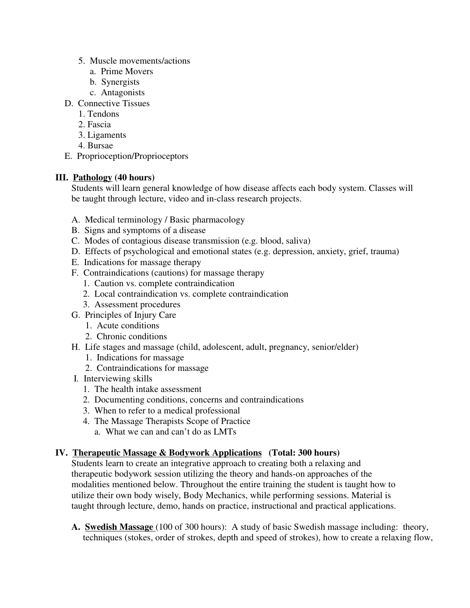- 5. Muscle movements/actions
	- a. Prime Movers
	- b. Synergists
	- c. Antagonists
- D. Connective Tissues
	- 1. Tendons
	- 2. Fascia
	- 3. Ligaments
	- 4. Bursae
- E. Proprioception/Proprioceptors

## **III. Pathology (40 hours)**

 Students will learn general knowledge of how disease affects each body system. Classes will be taught through lecture, video and in-class research projects.

- A. Medical terminology / Basic pharmacology
- B. Signs and symptoms of a disease
- C. Modes of contagious disease transmission (e.g. blood, saliva)
- D. Effects of psychological and emotional states (e.g. depression, anxiety, grief, trauma)
- E. Indications for massage therapy
- F. Contraindications (cautions) for massage therapy
	- 1. Caution vs. complete contraindication
	- 2. Local contraindication vs. complete contraindication
	- 3. Assessment procedures
- G. Principles of Injury Care
	- 1. Acute conditions
	- 2. Chronic conditions
- H. Life stages and massage (child, adolescent, adult, pregnancy, senior/elder)
	- 1. Indications for massage
	- 2. Contraindications for massage
- I. Interviewing skills
	- 1. The health intake assessment
	- 2. Documenting conditions, concerns and contraindications
	- 3. When to refer to a medical professional
	- 4. The Massage Therapists Scope of Practice
		- a. What we can and can't do as LMTs

# **IV. Therapeutic Massage & Bodywork Applications (Total: 300 hours)**

 Students learn to create an integrative approach to creating both a relaxing and therapeutic bodywork session utilizing the theory and hands-on approaches of the modalities mentioned below. Throughout the entire training the student is taught how to utilize their own body wisely, Body Mechanics, while performing sessions. Material is taught through lecture, demo, hands on practice, instructional and practical applications.

 **A. Swedish Massage** (100 of 300 hours): A study of basic Swedish massage including: theory, techniques (stokes, order of strokes, depth and speed of strokes), how to create a relaxing flow,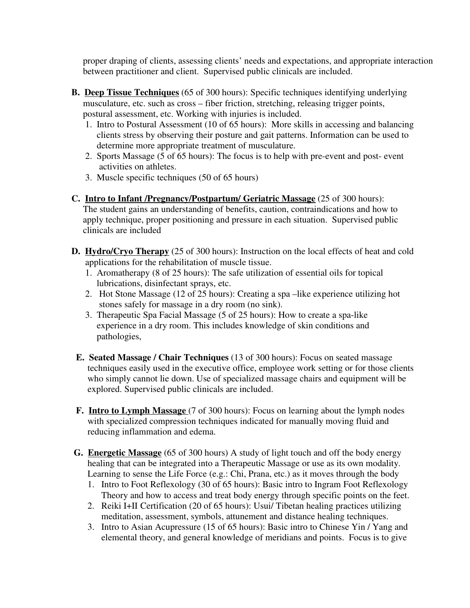proper draping of clients, assessing clients' needs and expectations, and appropriate interaction between practitioner and client. Supervised public clinicals are included.

- **B. Deep Tissue Techniques** (65 of 300 hours): Specific techniques identifying underlying musculature, etc. such as cross – fiber friction, stretching, releasing trigger points, postural assessment, etc. Working with injuries is included.
	- 1. Intro to Postural Assessment (10 of 65 hours):More skills in accessing and balancing clients stress by observing their posture and gait patterns. Information can be used to determine more appropriate treatment of musculature.
	- 2. Sports Massage (5 of 65 hours): The focus is to help with pre-event and post- event activities on athletes.
	- 3. Muscle specific techniques (50 of 65 hours)
- **C. Intro to Infant /Pregnancy/Postpartum/ Geriatric Massage** (25 of 300 hours): The student gains an understanding of benefits, caution, contraindications and how to apply technique, proper positioning and pressure in each situation. Supervised public clinicals are included
- **D. Hydro/Cryo Therapy** (25 of 300 hours): Instruction on the local effects of heat and cold applications for the rehabilitation of muscle tissue.
	- 1. Aromatherapy (8 of 25 hours): The safe utilization of essential oils for topical lubrications, disinfectant sprays, etc.
	- 2. Hot Stone Massage (12 of 25 hours): Creating a spa –like experience utilizing hot stones safely for massage in a dry room (no sink).
	- 3. Therapeutic Spa Facial Massage (5 of 25 hours): How to create a spa-like experience in a dry room. This includes knowledge of skin conditions and pathologies,
- **E. Seated Massage / Chair Techniques** (13 of 300 hours): Focus on seated massage techniques easily used in the executive office, employee work setting or for those clients who simply cannot lie down. Use of specialized massage chairs and equipment will be explored. Supervised public clinicals are included.
- **F. Intro to Lymph Massage** (7 of 300 hours): Focus on learning about the lymph nodes with specialized compression techniques indicated for manually moving fluid and reducing inflammation and edema.
- **G. Energetic Massage** (65 of 300 hours) A study of light touch and off the body energy healing that can be integrated into a Therapeutic Massage or use as its own modality. Learning to sense the Life Force (e.g.: Chi, Prana, etc.) as it moves through the body
	- 1. Intro to Foot Reflexology (30 of 65 hours): Basic intro to Ingram Foot Reflexology Theory and how to access and treat body energy through specific points on the feet.
	- 2. Reiki I+II Certification (20 of 65 hours): Usui/ Tibetan healing practices utilizing meditation, assessment, symbols, attunement and distance healing techniques.
	- 3. Intro to Asian Acupressure (15 of 65 hours): Basic intro to Chinese Yin / Yang and elemental theory, and general knowledge of meridians and points. Focus is to give